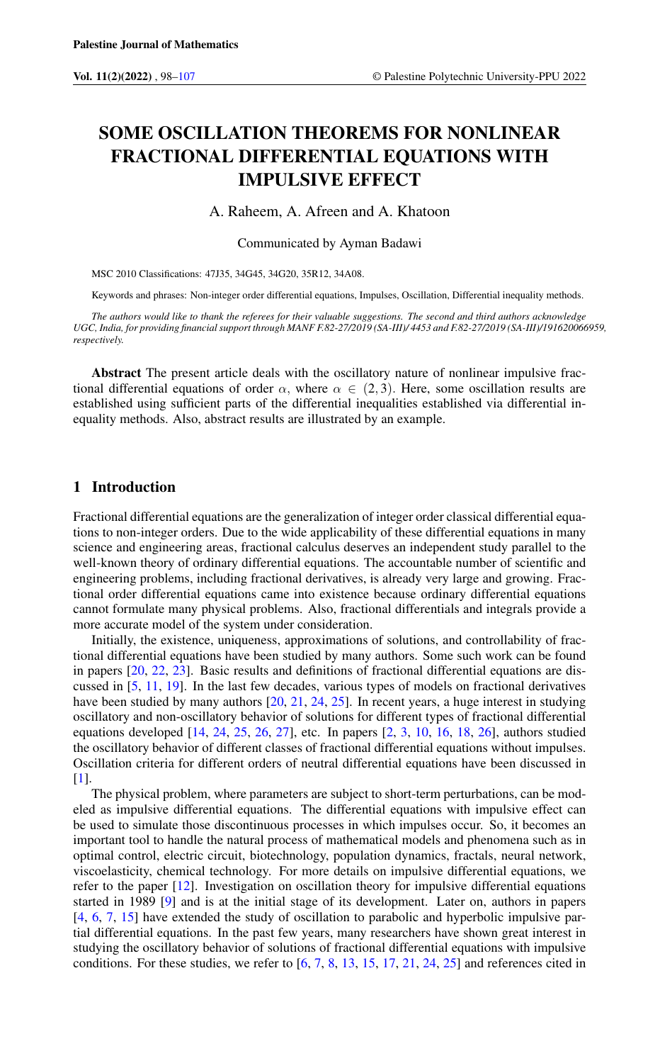# SOME OSCILLATION THEOREMS FOR NONLINEAR FRACTIONAL DIFFERENTIAL EQUATIONS WITH IMPULSIVE EFFECT

A. Raheem, A. Afreen and A. Khatoon

Communicated by Ayman Badawi

MSC 2010 Classifications: 47J35, 34G45, 34G20, 35R12, 34A08.

Keywords and phrases: Non-integer order differential equations, Impulses, Oscillation, Differential inequality methods.

*The authors would like to thank the referees for their valuable suggestions. The second and third authors acknowledge UGC, India, for providing financial support through MANF F.82-27/2019 (SA-III)/ 4453 and F.82-27/2019 (SA-III)/191620066959, respectively.*

Abstract The present article deals with the oscillatory nature of nonlinear impulsive fractional differential equations of order  $\alpha$ , where  $\alpha \in (2,3)$ . Here, some oscillation results are established using sufficient parts of the differential inequalities established via differential inequality methods. Also, abstract results are illustrated by an example.

# 1 Introduction

Fractional differential equations are the generalization of integer order classical differential equations to non-integer orders. Due to the wide applicability of these differential equations in many science and engineering areas, fractional calculus deserves an independent study parallel to the well-known theory of ordinary differential equations. The accountable number of scientific and engineering problems, including fractional derivatives, is already very large and growing. Fractional order differential equations came into existence because ordinary differential equations cannot formulate many physical problems. Also, fractional differentials and integrals provide a more accurate model of the system under consideration.

Initially, the existence, uniqueness, approximations of solutions, and controllability of fractional differential equations have been studied by many authors. Some such work can be found in papers [\[20,](#page-9-0) [22,](#page-9-1) [23\]](#page-9-2). Basic results and definitions of fractional differential equations are discussed in [\[5,](#page-8-1) [11,](#page-8-2) [19\]](#page-9-3). In the last few decades, various types of models on fractional derivatives have been studied by many authors  $[20, 21, 24, 25]$  $[20, 21, 24, 25]$  $[20, 21, 24, 25]$  $[20, 21, 24, 25]$  $[20, 21, 24, 25]$  $[20, 21, 24, 25]$  $[20, 21, 24, 25]$ . In recent years, a huge interest in studying oscillatory and non-oscillatory behavior of solutions for different types of fractional differential equations developed [\[14,](#page-9-7) [24,](#page-9-5) [25,](#page-9-6) [26,](#page-9-8) [27\]](#page-9-9), etc. In papers [\[2,](#page-8-3) [3,](#page-8-4) [10,](#page-8-5) [16,](#page-9-10) [18,](#page-9-11) [26\]](#page-9-8), authors studied the oscillatory behavior of different classes of fractional differential equations without impulses. Oscillation criteria for different orders of neutral differential equations have been discussed in [\[1\]](#page-8-6).

The physical problem, where parameters are subject to short-term perturbations, can be modeled as impulsive differential equations. The differential equations with impulsive effect can be used to simulate those discontinuous processes in which impulses occur. So, it becomes an important tool to handle the natural process of mathematical models and phenomena such as in optimal control, electric circuit, biotechnology, population dynamics, fractals, neural network, viscoelasticity, chemical technology. For more details on impulsive differential equations, we refer to the paper [\[12\]](#page-8-7). Investigation on oscillation theory for impulsive differential equations started in 1989 [\[9\]](#page-8-8) and is at the initial stage of its development. Later on, authors in papers [\[4,](#page-8-9) [6,](#page-8-10) [7,](#page-8-11) [15\]](#page-9-12) have extended the study of oscillation to parabolic and hyperbolic impulsive partial differential equations. In the past few years, many researchers have shown great interest in studying the oscillatory behavior of solutions of fractional differential equations with impulsive conditions. For these studies, we refer to [\[6,](#page-8-10) [7,](#page-8-11) [8,](#page-8-12) [13,](#page-8-13) [15,](#page-9-12) [17,](#page-9-13) [21,](#page-9-4) [24,](#page-9-5) [25\]](#page-9-6) and references cited in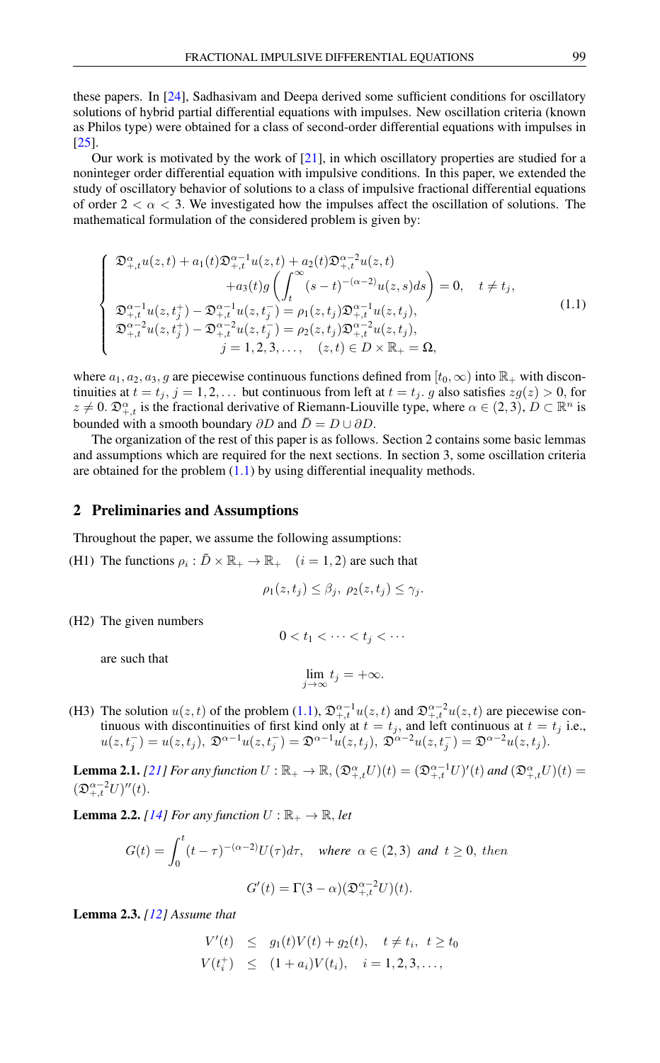these papers. In [\[24\]](#page-9-5), Sadhasivam and Deepa derived some sufficient conditions for oscillatory solutions of hybrid partial differential equations with impulses. New oscillation criteria (known as Philos type) were obtained for a class of second-order differential equations with impulses in [\[25\]](#page-9-6).

Our work is motivated by the work of [\[21\]](#page-9-4), in which oscillatory properties are studied for a noninteger order differential equation with impulsive conditions. In this paper, we extended the study of oscillatory behavior of solutions to a class of impulsive fractional differential equations of order  $2 < \alpha < 3$ . We investigated how the impulses affect the oscillation of solutions. The mathematical formulation of the considered problem is given by:

<span id="page-1-0"></span>
$$
\begin{cases}\n\mathfrak{D}_{+,t}^{\alpha}u(z,t) + a_1(t)\mathfrak{D}_{+,t}^{\alpha-1}u(z,t) + a_2(t)\mathfrak{D}_{+,t}^{\alpha-2}u(z,t) \\
+ a_3(t)g\left(\int_t^{\infty} (s-t)^{-(\alpha-2)}u(z,s)ds\right) = 0, \quad t \neq t_j, \\
\mathfrak{D}_{+,t}^{\alpha-1}u(z,t_j^+) - \mathfrak{D}_{+,t}^{\alpha-1}u(z,t_j^-) = \rho_1(z,t_j)\mathfrak{D}_{+,t}^{\alpha-1}u(z,t_j), \\
\mathfrak{D}_{+,t}^{\alpha-2}u(z,t_j^+) - \mathfrak{D}_{+,t}^{\alpha-2}u(z,t_j^-) = \rho_2(z,t_j)\mathfrak{D}_{+,t}^{\alpha-2}u(z,t_j), \\
j = 1,2,3,..., \quad (z,t) \in D \times \mathbb{R}_+ = \Omega,\n\end{cases}
$$
\n(1.1)

where  $a_1, a_2, a_3, g$  are piecewise continuous functions defined from  $[t_0, \infty)$  into  $\mathbb{R}_+$  with discontinuities at  $t = t_j$ ,  $j = 1, 2, \ldots$  but continuous from left at  $t = t_j$ . g also satisfies  $zg(z) > 0$ , for  $z \neq 0$ .  $\mathfrak{D}_{+,t}^{\alpha}$  is the fractional derivative of Riemann-Liouville type, where  $\alpha \in (2,3)$ ,  $D \subset \mathbb{R}^n$  is bounded with a smooth boundary  $\partial D$  and  $\bar{D} = D \cup \partial D$ .

The organization of the rest of this paper is as follows. Section 2 contains some basic lemmas and assumptions which are required for the next sections. In section 3, some oscillation criteria are obtained for the problem  $(1.1)$  by using differential inequality methods.

#### 2 Preliminaries and Assumptions

Throughout the paper, we assume the following assumptions:

(H1) The functions  $\rho_i : \bar{D} \times \mathbb{R}_+ \to \mathbb{R}_+$   $(i = 1, 2)$  are such that

$$
\rho_1(z, t_j) \leq \beta_j, \ \rho_2(z, t_j) \leq \gamma_j.
$$

(H2) The given numbers

are such that

$$
\lim_{j \to \infty} t_j = +\infty.
$$

 $0 < t_1 < \cdots < t_i < \cdots$ 

(H3) The solution  $u(z, t)$  of the problem [\(1.1\)](#page-1-0),  $\mathfrak{D}_{+,t}^{\alpha-1}u(z, t)$  and  $\mathfrak{D}_{+,t}^{\alpha-2}u(z, t)$  are piecewise continuous with discontinuities of first kind only at  $t = t_j$ , and left continuous at  $t = t_j$  i.e.,  $u(z,t_j^-) = u(z,t_j), \ \mathfrak{D}^{\alpha-1} u(z,t_j^-) = \mathfrak{D}^{\alpha-1} u(z,t_j), \ \mathfrak{D}^{\alpha-2} u(z,t_j^-) = \mathfrak{D}^{\alpha-2} u(z,t_j).$ 

<span id="page-1-2"></span>**Lemma 2.1.** [\[21\]](#page-9-4) For any function  $U : \mathbb{R}_+ \to \mathbb{R}$ ,  $(\mathfrak{D}^{\alpha}_{+,t}U)(t) = (\mathfrak{D}^{\alpha-1}_{+,t}U)'(t)$  and  $(\mathfrak{D}^{\alpha}_{+,t}U)(t) =$  $(\mathfrak{D}_{+,t}^{\alpha-2}U)''(t).$ 

<span id="page-1-1"></span>**Lemma 2.2.** *[\[14\]](#page-9-7) For any function*  $U : \mathbb{R}_+ \to \mathbb{R}$ *, let* 

$$
G(t) = \int_0^t (t - \tau)^{-(\alpha - 2)} U(\tau) d\tau, \quad \text{where } \alpha \in (2, 3) \text{ and } t \ge 0, \text{ then}
$$

$$
G'(t) = \Gamma(3 - \alpha)(\mathfrak{D}_{+,t}^{\alpha - 2} U)(t).
$$

<span id="page-1-3"></span>Lemma 2.3. *[\[12\]](#page-8-7) Assume that*

$$
V'(t) \leq g_1(t)V(t) + g_2(t), \quad t \neq t_i, \ t \geq t_0
$$
  

$$
V(t_i^+) \leq (1 + a_i)V(t_i), \quad i = 1, 2, 3, \dots,
$$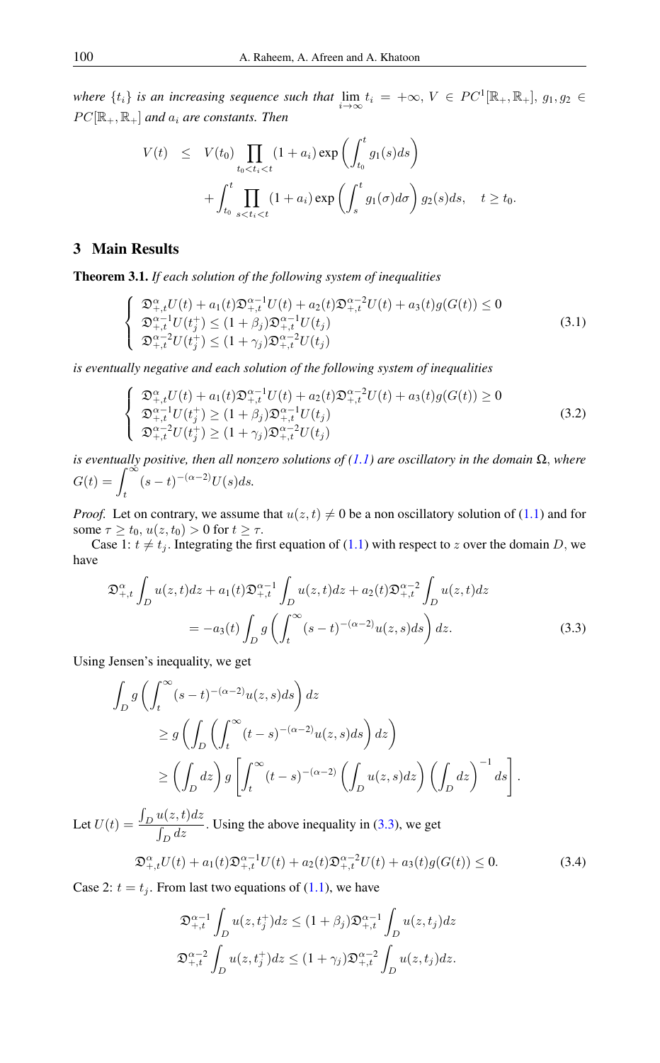*where*  $\{t_i\}$  *is an increasing sequence such that*  $\lim_{i\to\infty} t_i = +\infty$ ,  $V \in PC^1[\mathbb{R}_+, \mathbb{R}_+]$ ,  $g_1, g_2 \in$  $PC[\mathbb{R}_+, \mathbb{R}_+]$  *and*  $a_i$  *are constants. Then* 

$$
V(t) \leq V(t_0) \prod_{t_0 < t_i < t} (1 + a_i) \exp \left( \int_{t_0}^t g_1(s) ds \right)
$$
  
+ 
$$
\int_{t_0}^t \prod_{s < t_i < t} (1 + a_i) \exp \left( \int_s^t g_1(\sigma) d\sigma \right) g_2(s) ds, \quad t \geq t_0.
$$

## 3 Main Results

Theorem 3.1. *If each solution of the following system of inequalities*

<span id="page-2-2"></span>
$$
\begin{cases}\n\mathfrak{D}_{+,t}^{\alpha}U(t) + a_1(t)\mathfrak{D}_{+,t}^{\alpha-1}U(t) + a_2(t)\mathfrak{D}_{+,t}^{\alpha-2}U(t) + a_3(t)g(G(t)) \le 0 \\
\mathfrak{D}_{+,t}^{\alpha-1}U(t_j^+) \le (1+\beta_j)\mathfrak{D}_{+,t}^{\alpha-1}U(t_j) \\
\mathfrak{D}_{+,t}^{\alpha-2}U(t_j^+) \le (1+\gamma_j)\mathfrak{D}_{+,t}^{\alpha-2}U(t_j)\n\end{cases}
$$
\n(3.1)

*is eventually negative and each solution of the following system of inequalities*

<span id="page-2-3"></span>
$$
\begin{cases}\n\mathfrak{D}_{+,t}^{\alpha}U(t) + a_1(t)\mathfrak{D}_{+,t}^{\alpha-1}U(t) + a_2(t)\mathfrak{D}_{+,t}^{\alpha-2}U(t) + a_3(t)g(G(t)) \ge 0 \\
\mathfrak{D}_{+,t}^{\alpha-1}U(t_j^+) \ge (1+\beta_j)\mathfrak{D}_{+,t}^{\alpha-1}U(t_j) \\
\mathfrak{D}_{+,t}^{\alpha-2}U(t_j^+) \ge (1+\gamma_j)\mathfrak{D}_{+,t}^{\alpha-2}U(t_j)\n\end{cases}
$$
\n(3.2)

*is eventually positive, then all nonzero solutions of*  $(1.1)$  *are oscillatory in the domain*  $\Omega$ *, where*  $G(t) = \int_{0}^{\infty}$ t  $(s-t)^{-(\alpha-2)}U(s)ds.$ 

*Proof.* Let on contrary, we assume that  $u(z, t) \neq 0$  be a non oscillatory solution of [\(1.1\)](#page-1-0) and for some  $\tau \geq t_0$ ,  $u(z, t_0) > 0$  for  $t \geq \tau$ .

Case 1:  $t \neq t_j$ . Integrating the first equation of [\(1.1\)](#page-1-0) with respect to z over the domain D, we have

<span id="page-2-0"></span>
$$
\mathfrak{D}^{\alpha}_{+,t} \int_{D} u(z,t)dz + a_1(t)\mathfrak{D}^{\alpha-1}_{+,t} \int_{D} u(z,t)dz + a_2(t)\mathfrak{D}^{\alpha-2}_{+,t} \int_{D} u(z,t)dz
$$
  

$$
= -a_3(t)\int_{D} g\left(\int_{t}^{\infty} (s-t)^{-(\alpha-2)}u(z,s)ds\right)dz.
$$
 (3.3)

Using Jensen's inequality, we get

$$
\int_{D} g\left(\int_{t}^{\infty} (s-t)^{-(\alpha-2)} u(z,s)ds\right) dz
$$
\n
$$
\geq g\left(\int_{D} \left(\int_{t}^{\infty} (t-s)^{-(\alpha-2)} u(z,s)ds\right) dz\right)
$$
\n
$$
\geq \left(\int_{D} dz\right) g\left[\int_{t}^{\infty} (t-s)^{-(\alpha-2)} \left(\int_{D} u(z,s)dz\right) \left(\int_{D} dz\right)^{-1} ds\right].
$$

Let  $U(t) = \frac{\int_D u(z,t)dz}{\int_{I}$  $\frac{d(x, y, z)}{\int_D dz}$ . Using the above inequality in [\(3.3\)](#page-2-0), we get

<span id="page-2-1"></span>
$$
\mathfrak{D}_{+,t}^{\alpha}U(t) + a_1(t)\mathfrak{D}_{+,t}^{\alpha-1}U(t) + a_2(t)\mathfrak{D}_{+,t}^{\alpha-2}U(t) + a_3(t)g(G(t)) \le 0.
$$
\n(3.4)

Case 2:  $t = t_j$ . From last two equations of [\(1.1\)](#page-1-0), we have

$$
\mathfrak{D}_{+,t}^{\alpha-1} \int_D u(z,t_j^+)dz \leq (1+\beta_j)\mathfrak{D}_{+,t}^{\alpha-1} \int_D u(z,t_j)dz
$$
  

$$
\mathfrak{D}_{+,t}^{\alpha-2} \int_D u(z,t_j^+)dz \leq (1+\gamma_j)\mathfrak{D}_{+,t}^{\alpha-2} \int_D u(z,t_j)dz.
$$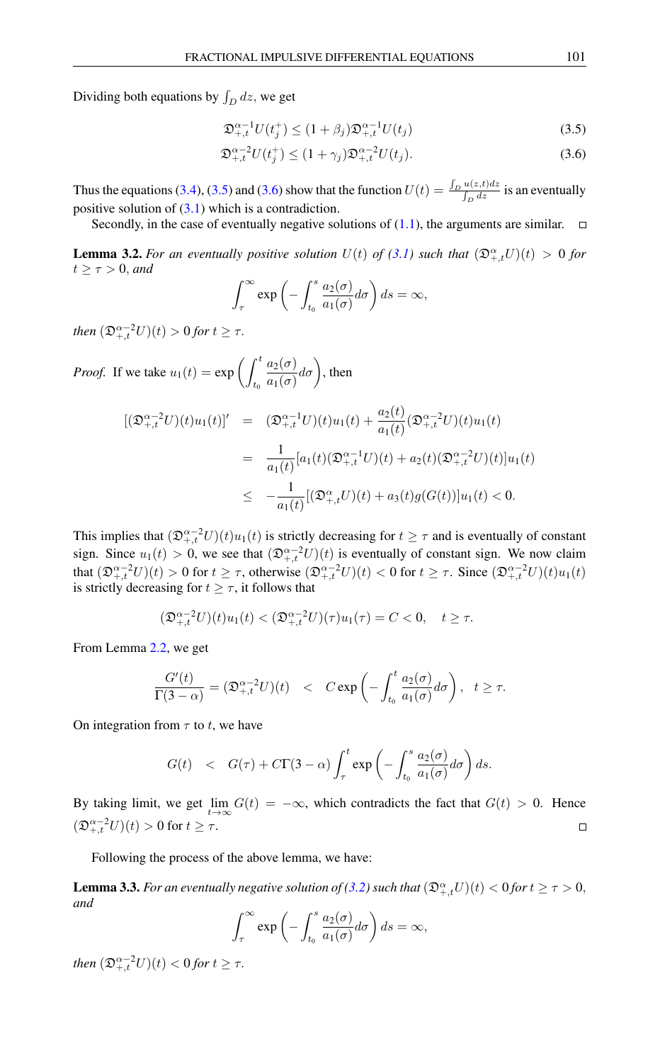Dividing both equations by  $\int_D dz$ , we get

<span id="page-3-0"></span>
$$
\mathfrak{D}_{+,t}^{\alpha-1}U(t_j^+) \le (1+\beta_j)\mathfrak{D}_{+,t}^{\alpha-1}U(t_j)
$$
\n(3.5)

$$
\mathfrak{D}_{+,t}^{\alpha-2} U(t_j^+) \le (1+\gamma_j) \mathfrak{D}_{+,t}^{\alpha-2} U(t_j). \tag{3.6}
$$

Thus the equations [\(3.4\)](#page-2-1), [\(3.5\)](#page-3-0) and [\(3.6\)](#page-3-0) show that the function  $U(t) = \frac{\int_D u(z,t)dz}{\int_D dz}$  is an eventually positive solution of  $(3.1)$  which is a contradiction.

Secondly, in the case of eventually negative solutions of  $(1.1)$ , the arguments are similar.  $\Box$ 

<span id="page-3-1"></span>**Lemma 3.2.** For an eventually positive solution  $U(t)$  of [\(3.1\)](#page-2-2) such that  $(\mathfrak{D}^{\alpha}_{+,t}U)(t) > 0$  for  $t \geq \tau > 0$ , and

$$
\int_{\tau}^{\infty} \exp\left(-\int_{t_0}^{s} \frac{a_2(\sigma)}{a_1(\sigma)} d\sigma\right) ds = \infty,
$$

*then*  $(\mathfrak{D}_{+,t}^{\alpha-2}U)(t) > 0$  *for*  $t \geq \tau$ .

*Proof.* If we take  $u_1(t) = \exp\left(\int^t \right)$  $t_0$  $a_2(\sigma)$  $\left(\frac{a_2(\sigma)}{a_1(\sigma)}d\sigma\right)$ , then

$$
\begin{array}{rcl} [(\mathfrak{D}^{\alpha-2}_{+,t}U)(t)u_1(t)]' & = & (\mathfrak{D}^{\alpha-1}_{+,t}U)(t)u_1(t) + \frac{a_2(t)}{a_1(t)}(\mathfrak{D}^{\alpha-2}_{+,t}U)(t)u_1(t) \\ \\ & = & \frac{1}{a_1(t)}[a_1(t)(\mathfrak{D}^{\alpha-1}_{+,t}U)(t) + a_2(t)(\mathfrak{D}^{\alpha-2}_{+,t}U)(t)]u_1(t) \\ \\ & \leq & -\frac{1}{a_1(t)}[(\mathfrak{D}^{\alpha}_{+,t}U)(t) + a_3(t)g(G(t))]u_1(t) < 0. \end{array}
$$

This implies that  $(\mathfrak{D}_{+,t}^{\alpha-2}U)(t)u_1(t)$  is strictly decreasing for  $t \geq \tau$  and is eventually of constant sign. Since  $u_1(t) > 0$ , we see that  $(\mathfrak{D}_{+,t}^{\alpha-2}U)(t)$  is eventually of constant sign. We now claim that  $(\mathfrak{D}_{+,t}^{\alpha-2}U)(t) > 0$  for  $t \geq \tau$ , otherwise  $(\mathfrak{D}_{+,t}^{\alpha-2}U)(t) < 0$  for  $t \geq \tau$ . Since  $(\mathfrak{D}_{+,t}^{\alpha-2}U)(t)u_1(t)$ is strictly decreasing for  $t \geq \tau$ , it follows that

$$
(\mathfrak{D}_{+,t}^{\alpha-2}U)(t)u_1(t) < (\mathfrak{D}_{+,t}^{\alpha-2}U)(\tau)u_1(\tau) = C < 0, \quad t \ge \tau.
$$

From Lemma [2.2,](#page-1-1) we get

$$
\frac{G'(t)}{\Gamma(3-\alpha)} = (\mathfrak{D}^{\alpha-2}_{+,t}U)(t) < C \exp\left(-\int_{t_0}^t \frac{a_2(\sigma)}{a_1(\sigma)}d\sigma\right), \quad t \ge \tau.
$$

On integration from  $\tau$  to t, we have

$$
G(t) < G(\tau) + C\Gamma(3-\alpha) \int_{\tau}^{t} \exp\left(-\int_{t_0}^{s} \frac{a_2(\sigma)}{a_1(\sigma)} d\sigma\right) ds.
$$

By taking limit, we get  $\lim_{t\to\infty} G(t) = -\infty$ , which contradicts the fact that  $G(t) > 0$ . Hence  $(\mathfrak{D}_{+,t}^{\alpha-2}U)(t) > 0$  for  $t \geq \tau$ .  $\Box$ 

Following the process of the above lemma, we have:

<span id="page-3-2"></span>**Lemma 3.3.** For an eventually negative solution of [\(3.2\)](#page-2-3) such that  $(\mathfrak{D}^{\alpha}_{+,t}U)(t) < 0$  for  $t \geq \tau > 0$ , *and*

$$
\int_{\tau}^{\infty} \exp\left(-\int_{t_0}^{s} \frac{a_2(\sigma)}{a_1(\sigma)} d\sigma\right) ds = \infty,
$$

*then*  $(\mathfrak{D}^{\alpha-2}_{+,t}U)(t) < 0$  *for*  $t \geq \tau$ .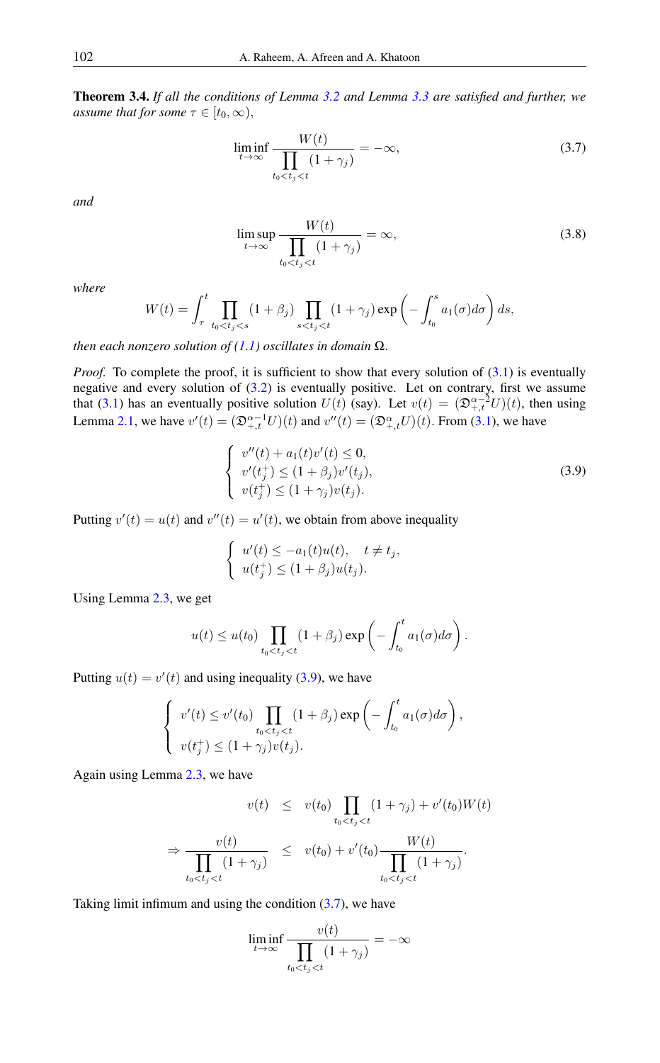<span id="page-4-3"></span>Theorem 3.4. *If all the conditions of Lemma [3.2](#page-3-1) and Lemma [3.3](#page-3-2) are satisfied and further, we assume that for some*  $\tau \in [t_0, \infty)$ ,

<span id="page-4-1"></span>
$$
\liminf_{t \to \infty} \frac{W(t)}{\prod_{t_0 < t_j < t} (1 + \gamma_j)} = -\infty,\tag{3.7}
$$

*and*

<span id="page-4-2"></span>
$$
\limsup_{t \to \infty} \frac{W(t)}{\prod_{t_0 < t_j < t} (1 + \gamma_j)} = \infty,\tag{3.8}
$$

*where*

$$
W(t) = \int_{\tau}^{t} \prod_{t_0 < t_j < s} (1 + \beta_j) \prod_{s < t_j < t} (1 + \gamma_j) \exp\left(-\int_{t_0}^{s} a_1(\sigma) d\sigma\right) ds,
$$

*then each nonzero solution of [\(1.1\)](#page-1-0) oscillates in domain* Ω.

*Proof.* To complete the proof, it is sufficient to show that every solution of  $(3.1)$  is eventually negative and every solution of  $(3.2)$  is eventually positive. Let on contrary, first we assume that [\(3.1\)](#page-2-2) has an eventually positive solution  $U(t)$  (say). Let  $v(t) = (\mathfrak{D}_{+,t}^{\alpha-2}U)(t)$ , then using Lemma [2.1,](#page-1-2) we have  $v'(t) = (\mathfrak{D}_{+,t}^{\alpha-1}U)(t)$  and  $v''(t) = (\mathfrak{D}_{+,t}^{\alpha}U)(t)$ . From [\(3.1\)](#page-2-2), we have

<span id="page-4-0"></span>
$$
\begin{cases}\nv''(t) + a_1(t)v'(t) \le 0, \\
v'(t_j^+) \le (1 + \beta_j)v'(t_j), \\
v(t_j^+) \le (1 + \gamma_j)v(t_j).\n\end{cases}
$$
\n(3.9)

Putting  $v'(t) = u(t)$  and  $v''(t) = u'(t)$ , we obtain from above inequality

$$
\begin{cases}\n u'(t) \leq -a_1(t)u(t), & t \neq t_j, \\
 u(t_j^+) \leq (1+\beta_j)u(t_j).\n\end{cases}
$$

Using Lemma [2.3,](#page-1-3) we get

$$
u(t) \leq u(t_0) \prod_{t_0 < t_j < t} (1+\beta_j) \exp \left(-\int_{t_0}^t a_1(\sigma) d\sigma\right).
$$

Putting  $u(t) = v'(t)$  and using inequality [\(3.9\)](#page-4-0), we have

$$
\begin{cases}\nv'(t) \le v'(t_0) \prod_{t_0 < t_j < t} (1 + \beta_j) \exp\left(-\int_{t_0}^t a_1(\sigma) d\sigma\right), \\
v(t_j^+) \le (1 + \gamma_j)v(t_j).\n\end{cases}
$$

Again using Lemma [2.3,](#page-1-3) we have

$$
v(t) \leq v(t_0) \prod_{t_0 < t_j < t} (1 + \gamma_j) + v'(t_0)W(t)
$$
  
\n
$$
\Rightarrow \frac{v(t)}{\prod_{t_0 < t_j < t} (1 + \gamma_j)} \leq v(t_0) + v'(t_0) \frac{W(t)}{\prod_{t_0 < t_j < t} (1 + \gamma_j)}.
$$

Taking limit infimum and using the condition  $(3.7)$ , we have

$$
\liminf_{t \to \infty} \frac{v(t)}{\prod_{t_0 < t_j < t} (1 + \gamma_j)} = -\infty
$$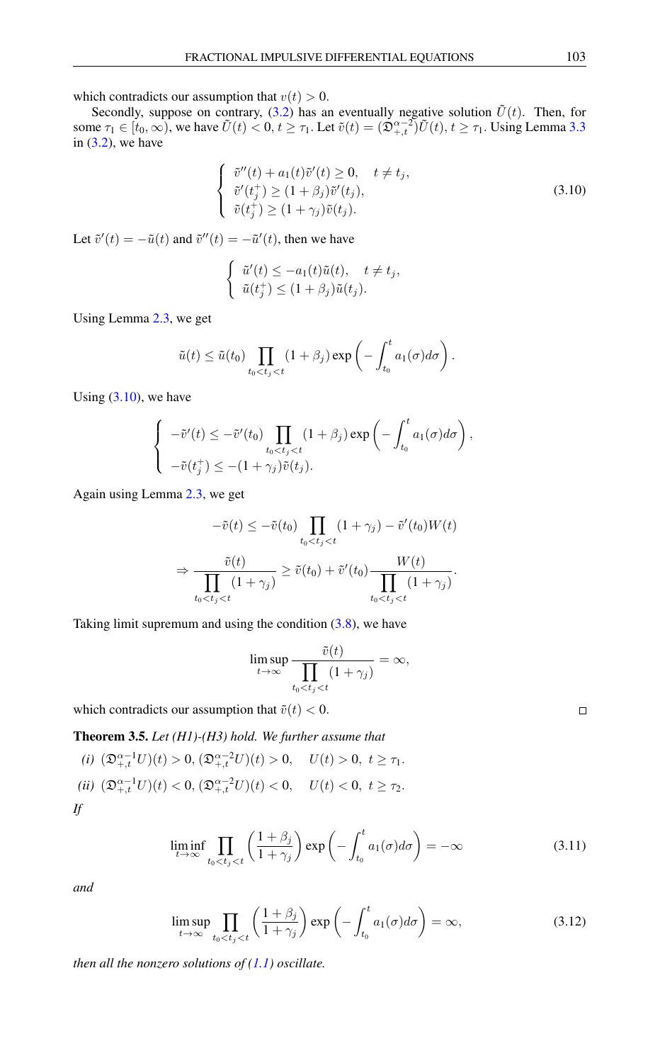which contradicts our assumption that  $v(t) > 0$ .

Secondly, suppose on contrary, [\(3.2\)](#page-2-3) has an eventually negative solution  $\tilde{U}(t)$ . Then, for some  $\tau_1 \in [t_0, \infty)$ , we have  $\tilde{U}(t) < 0, t \ge \tau_1$ . Let  $\tilde{v}(t) = (\mathfrak{D}_{+,t}^{\alpha-2}) \tilde{U}(t), t \ge \tau_1$ . Using Lemma [3.3](#page-3-2) in  $(3.2)$ , we have

<span id="page-5-0"></span>
$$
\begin{cases}\n\tilde{v}''(t) + a_1(t)\tilde{v}'(t) \ge 0, \quad t \ne t_j, \\
\tilde{v}'(t_j^+) \ge (1 + \beta_j)\tilde{v}'(t_j), \\
\tilde{v}(t_j^+) \ge (1 + \gamma_j)\tilde{v}(t_j).\n\end{cases}
$$
\n(3.10)

Let  $\tilde{v}'(t) = -\tilde{u}(t)$  and  $\tilde{v}''(t) = -\tilde{u}'(t)$ , then we have

$$
\begin{cases} \tilde{u}'(t) \leq -a_1(t)\tilde{u}(t), \quad t \neq t_j, \\ \tilde{u}(t_j^+) \leq (1+\beta_j)\tilde{u}(t_j). \end{cases}
$$

Using Lemma [2.3,](#page-1-3) we get

$$
\tilde{u}(t) \leq \tilde{u}(t_0) \prod_{t_0 < t_j < t} (1 + \beta_j) \exp \left(-\int_{t_0}^t a_1(\sigma) d\sigma\right).
$$

Using  $(3.10)$ , we have

$$
\begin{cases}\n-\tilde{v}'(t) \leq -\tilde{v}'(t_0) \prod_{t_0 < t_j < t} (1+\beta_j) \exp\left(-\int_{t_0}^t a_1(\sigma) d\sigma\right), \\
-\tilde{v}(t_j^+) \leq -(1+\gamma_j)\tilde{v}(t_j).\n\end{cases}
$$

Again using Lemma [2.3,](#page-1-3) we get

$$
-\tilde{v}(t) \le -\tilde{v}(t_0) \prod_{t_0 < t_j < t} (1 + \gamma_j) - \tilde{v}'(t_0)W(t)
$$

$$
\Rightarrow \frac{\tilde{v}(t)}{\prod_{t_0 < t_j < t} (1 + \gamma_j)} \ge \tilde{v}(t_0) + \tilde{v}'(t_0) \frac{W(t)}{\prod_{t_0 < t_j < t} (1 + \gamma_j)}.
$$

Taking limit supremum and using the condition  $(3.8)$ , we have

$$
\limsup_{t \to \infty} \frac{\tilde{v}(t)}{\prod_{t_0 < t_j < t} (1 + \gamma_j)} = \infty,
$$

which contradicts our assumption that  $\tilde{v}(t) < 0$ .

<span id="page-5-1"></span>Theorem 3.5. *Let (H1)-(H3) hold. We further assume that*

*(i)*  $(\mathfrak{D}_{+,t}^{\alpha-1}U)(t) > 0$ ,  $(\mathfrak{D}_{+,t}^{\alpha-2}U)(t) > 0$ ,  $U(t) > 0$ ,  $t \geq \tau_1$ . *(ii)*  $(\mathfrak{D}_{+,t}^{\alpha-1}U)(t) < 0$ ,  $(\mathfrak{D}_{+,t}^{\alpha-2}U)(t) < 0$ ,  $U(t) < 0$ ,  $t \geq \tau_2$ . *If*

$$
\liminf_{t \to \infty} \prod_{t_0 < t_j < t} \left( \frac{1 + \beta_j}{1 + \gamma_j} \right) \exp \left( - \int_{t_0}^t a_1(\sigma) d\sigma \right) = -\infty \tag{3.11}
$$

*and*

$$
\limsup_{t \to \infty} \prod_{t_0 < t_j < t} \left( \frac{1 + \beta_j}{1 + \gamma_j} \right) \exp \left( - \int_{t_0}^t a_1(\sigma) d\sigma \right) = \infty,
$$
\n(3.12)

*then all the nonzero solutions of [\(1.1\)](#page-1-0) oscillate.*

 $\Box$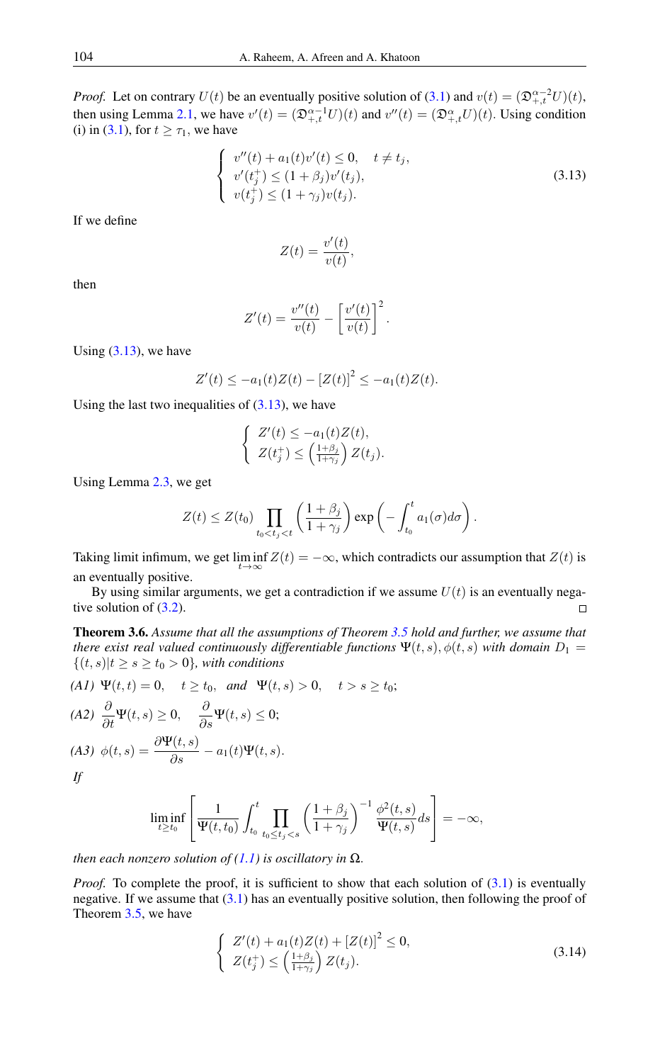*Proof.* Let on contrary  $U(t)$  be an eventually positive solution of [\(3.1\)](#page-2-2) and  $v(t) = (\mathfrak{D}_{+,t}^{\alpha-2}U)(t)$ , then using Lemma [2.1,](#page-1-2) we have  $v'(t) = (\mathfrak{D}_{+,t}^{\alpha-1}U)(t)$  and  $v''(t) = (\mathfrak{D}_{+,t}^{\alpha}U)(t)$ . Using condition (i) in [\(3.1\)](#page-2-2), for  $t \geq \tau_1$ , we have

<span id="page-6-0"></span>
$$
\begin{cases}\nv''(t) + a_1(t)v'(t) \le 0, & t \ne t_j, \\
v'(t_j^+) \le (1 + \beta_j)v'(t_j), \\
v(t_j^+) \le (1 + \gamma_j)v(t_j).\n\end{cases}
$$
\n(3.13)

If we define

$$
Z(t) = \frac{v'(t)}{v(t)},
$$

then

$$
Z'(t) = \frac{v''(t)}{v(t)} - \left[\frac{v'(t)}{v(t)}\right]^2.
$$

Using  $(3.13)$ , we have

$$
Z'(t) \le -a_1(t)Z(t) - [Z(t)]^2 \le -a_1(t)Z(t).
$$

Using the last two inequalities of  $(3.13)$ , we have

$$
\begin{cases}\nZ'(t) \le -a_1(t)Z(t), \\
Z(t_j^+) \le \left(\frac{1+\beta_j}{1+\gamma_j}\right)Z(t_j).\n\end{cases}
$$

Using Lemma [2.3,](#page-1-3) we get

$$
Z(t) \leq Z(t_0) \prod_{t_0 < t_j < t} \left( \frac{1+\beta_j}{1+\gamma_j} \right) \exp \left( - \int_{t_0}^t a_1(\sigma) d\sigma \right).
$$

Taking limit infimum, we get  $\liminf_{t\to\infty} Z(t) = -\infty$ , which contradicts our assumption that  $Z(t)$  is an eventually positive.

By using similar arguments, we get a contradiction if we assume  $U(t)$  is an eventually negative solution of  $(3.2)$ .  $\Box$ 

Theorem 3.6. *Assume that all the assumptions of Theorem [3.5](#page-5-1) hold and further, we assume that there exist real valued continuously differentiable functions*  $\Psi(t, s)$ ,  $\phi(t, s)$  *with domain*  $D_1 =$  $\{(t, s)|t \ge s \ge t_0 > 0\}$ *, with conditions* 

(A1) 
$$
\Psi(t,t) = 0
$$
,  $t \ge t_0$ , and  $\Psi(t,s) > 0$ ,  $t > s \ge t_0$ ;  
(A2)  $\frac{\partial}{\partial \Psi(t,s)} > 0$   $\frac{\partial}{\partial \Psi(t,s)} < 0$ 

$$
(A2) \frac{\partial}{\partial t} \mathbf{f}(t,s) \ge 0, \quad \frac{\partial}{\partial s} \mathbf{f}(t,s) \le 0,
$$
  

$$
(A3) \phi(t,s) = \frac{\partial \Psi(t,s)}{\partial s} - a_1(t)\Psi(t,s).
$$

$$
\c{If}
$$

$$
\liminf_{t\geq t_0}\left[\frac{1}{\Psi(t,t_0)}\int_{t_0}^t\prod_{t_0\leq t_j
$$

*then each nonzero solution of*  $(1.1)$  *is oscillatory in*  $\Omega$ *.* 

*Proof.* To complete the proof, it is sufficient to show that each solution of [\(3.1\)](#page-2-2) is eventually negative. If we assume that  $(3.1)$  has an eventually positive solution, then following the proof of Theorem [3.5,](#page-5-1) we have

<span id="page-6-1"></span>
$$
\begin{cases}\nZ'(t) + a_1(t)Z(t) + [Z(t)]^2 \le 0, \\
Z(t_j^+) \le \left(\frac{1+\beta_j}{1+\gamma_j}\right)Z(t_j).\n\end{cases}
$$
\n(3.14)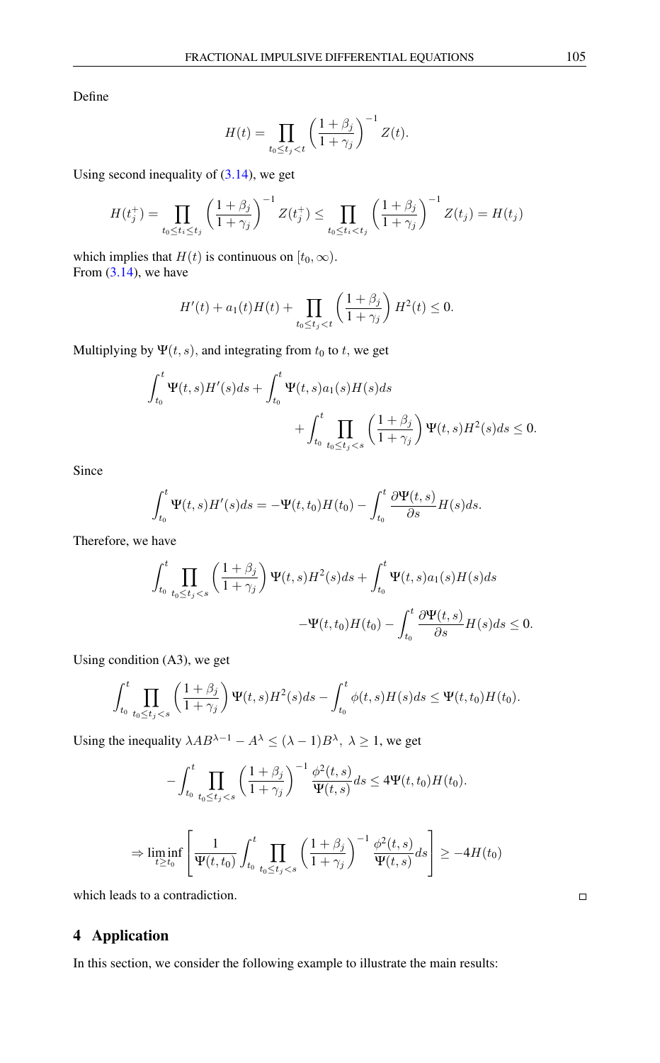Define

$$
H(t) = \prod_{t_0 \le t_j < t} \left(\frac{1+\beta_j}{1+\gamma_j}\right)^{-1} Z(t).
$$

Using second inequality of  $(3.14)$ , we get

$$
H(t_j^+) = \prod_{t_0 \le t_i \le t_j} \left(\frac{1+\beta_j}{1+\gamma_j}\right)^{-1} Z(t_j^+) \le \prod_{t_0 \le t_i < t_j} \left(\frac{1+\beta_j}{1+\gamma_j}\right)^{-1} Z(t_j) = H(t_j)
$$

which implies that  $H(t)$  is continuous on  $[t_0, \infty)$ . From  $(3.14)$ , we have

$$
H'(t) + a_1(t)H(t) + \prod_{t_0 \le t_j < t} \left(\frac{1+\beta_j}{1+\gamma_j}\right)H^2(t) \le 0.
$$

Multiplying by  $\Psi(t, s)$ , and integrating from  $t_0$  to  $t$ , we get

$$
\int_{t_0}^t \Psi(t,s)H'(s)ds + \int_{t_0}^t \Psi(t,s)a_1(s)H(s)ds
$$
  
+ 
$$
\int_{t_0}^t \prod_{t_0 \le t_j < s} \left(\frac{1+\beta_j}{1+\gamma_j}\right) \Psi(t,s)H^2(s)ds \le 0.
$$

Since

$$
\int_{t_0}^t \Psi(t,s)H'(s)ds = -\Psi(t,t_0)H(t_0) - \int_{t_0}^t \frac{\partial \Psi(t,s)}{\partial s}H(s)ds.
$$

Therefore, we have

$$
\int_{t_0}^t \prod_{t_0 \le t_j < s} \left( \frac{1+\beta_j}{1+\gamma_j} \right) \Psi(t,s) H^2(s) ds + \int_{t_0}^t \Psi(t,s) a_1(s) H(s) ds -\Psi(t,t_0) H(t_0) - \int_{t_0}^t \frac{\partial \Psi(t,s)}{\partial s} H(s) ds \le 0.
$$

Using condition (A3), we get

$$
\int_{t_0}^t \prod_{t_0 \le t_j < s} \left( \frac{1+\beta_j}{1+\gamma_j} \right) \Psi(t,s) H^2(s) ds - \int_{t_0}^t \phi(t,s) H(s) ds \le \Psi(t,t_0) H(t_0).
$$

Using the inequality  $\lambda AB^{\lambda-1} - A^{\lambda} \le (\lambda - 1)B^{\lambda}, \ \lambda \ge 1$ , we get

$$
-\int_{t_0}^t \prod_{t_0 \le t_j < s} \left( \frac{1+\beta_j}{1+\gamma_j} \right)^{-1} \frac{\phi^2(t,s)}{\Psi(t,s)} ds \le 4\Psi(t,t_0) H(t_0).
$$

$$
\Rightarrow \liminf_{t \ge t_0} \left[ \frac{1}{\Psi(t, t_0)} \int_{t_0}^t \prod_{t_0 \le t_j < s} \left( \frac{1 + \beta_j}{1 + \gamma_j} \right)^{-1} \frac{\phi^2(t, s)}{\Psi(t, s)} ds \right] \ge -4H(t_0)
$$

which leads to a contradiction.

# 4 Application

In this section, we consider the following example to illustrate the main results:

 $\Box$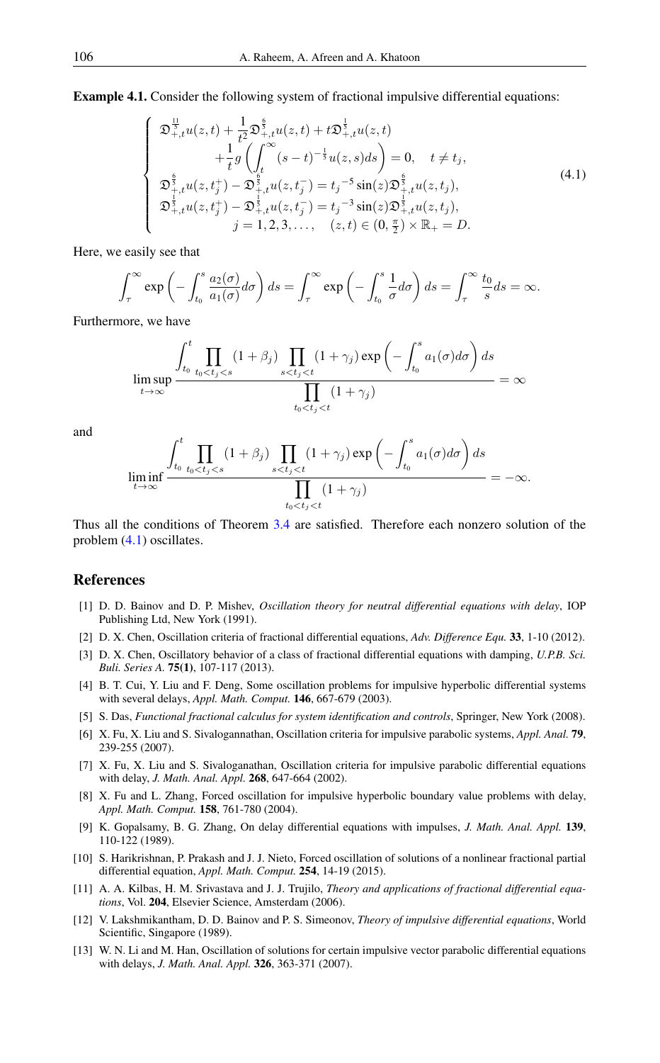Example 4.1. Consider the following system of fractional impulsive differential equations:

<span id="page-8-14"></span>
$$
\begin{cases}\n\mathfrak{D}_{+,t}^{\frac{1}{3}}u(z,t) + \frac{1}{t^2} \mathfrak{D}_{+,t}^{\frac{6}{5}} u(z,t) + t \mathfrak{D}_{+,t}^{\frac{1}{5}} u(z,t) \\
+ \frac{1}{t} g \left( \int_{t}^{\infty} (s-t)^{-\frac{1}{3}} u(z,s) ds \right) = 0, \quad t \neq t_j, \\
\mathfrak{D}_{+,t}^{\frac{6}{3}} u(z,t_j^+) - \mathfrak{D}_{+,t}^{\frac{8}{3}} u(z,t_j^-) = t_j^{-5} \sin(z) \mathfrak{D}_{+,t}^{\frac{6}{3}} u(z,t_j), \\
\mathfrak{D}_{+,t}^{\frac{1}{3}} u(z,t_j^+) - \mathfrak{D}_{+,t}^{\frac{1}{3}} u(z,t_j^-) = t_j^{-3} \sin(z) \mathfrak{D}_{+,t}^{\frac{1}{3}} u(z,t_j), \\
j = 1, 2, 3, \dots, \quad (z,t) \in (0, \frac{\pi}{2}) \times \mathbb{R}_+ = D.\n\end{cases} \tag{4.1}
$$

Here, we easily see that

$$
\int_{\tau}^{\infty} \exp\left(-\int_{t_0}^{s} \frac{a_2(\sigma)}{a_1(\sigma)} d\sigma\right) ds = \int_{\tau}^{\infty} \exp\left(-\int_{t_0}^{s} \frac{1}{\sigma} d\sigma\right) ds = \int_{\tau}^{\infty} \frac{t_0}{s} ds = \infty.
$$

Furthermore, we have

$$
\limsup_{t \to \infty} \frac{\int_{t_0}^t \prod_{t_0 < t_j < s} (1 + \beta_j) \prod_{s < t_j < t} (1 + \gamma_j) \exp\left(-\int_{t_0}^s a_1(\sigma) d\sigma\right) ds}{\prod_{t_0 < t_j < t} (1 + \gamma_j)} = \infty
$$

and

$$
\liminf_{t \to \infty} \frac{\int_{t_0}^t \prod_{t_0 < t_j < s} (1 + \beta_j) \prod_{s < t_j < t} (1 + \gamma_j) \exp\left(-\int_{t_0}^s a_1(\sigma) d\sigma\right) ds}{\prod_{t_0 < t_j < t} (1 + \gamma_j)} = -\infty.
$$

Thus all the conditions of Theorem [3.4](#page-4-3) are satisfied. Therefore each nonzero solution of the problem [\(4.1\)](#page-8-14) oscillates.

### <span id="page-8-0"></span>References

- <span id="page-8-6"></span>[1] D. D. Bainov and D. P. Mishev, *Oscillation theory for neutral differential equations with delay*, IOP Publishing Ltd, New York (1991).
- <span id="page-8-3"></span>[2] D. X. Chen, Oscillation criteria of fractional differential equations, *Adv. Difference Equ.* 33, 1-10 (2012).
- <span id="page-8-4"></span>[3] D. X. Chen, Oscillatory behavior of a class of fractional differential equations with damping, *U.P.B. Sci. Buli. Series A.* 75(1), 107-117 (2013).
- <span id="page-8-9"></span>[4] B. T. Cui, Y. Liu and F. Deng, Some oscillation problems for impulsive hyperbolic differential systems with several delays, *Appl. Math. Comput.* 146, 667-679 (2003).
- <span id="page-8-1"></span>[5] S. Das, *Functional fractional calculus for system identification and controls*, Springer, New York (2008).
- <span id="page-8-10"></span>[6] X. Fu, X. Liu and S. Sivalogannathan, Oscillation criteria for impulsive parabolic systems, *Appl. Anal.* 79, 239-255 (2007).
- <span id="page-8-11"></span>[7] X. Fu, X. Liu and S. Sivaloganathan, Oscillation criteria for impulsive parabolic differential equations with delay, *J. Math. Anal. Appl.* 268, 647-664 (2002).
- <span id="page-8-12"></span>[8] X. Fu and L. Zhang, Forced oscillation for impulsive hyperbolic boundary value problems with delay, *Appl. Math. Comput.* 158, 761-780 (2004).
- <span id="page-8-8"></span>[9] K. Gopalsamy, B. G. Zhang, On delay differential equations with impulses, *J. Math. Anal. Appl.* 139, 110-122 (1989).
- <span id="page-8-5"></span>[10] S. Harikrishnan, P. Prakash and J. J. Nieto, Forced oscillation of solutions of a nonlinear fractional partial differential equation, *Appl. Math. Comput.* 254, 14-19 (2015).
- <span id="page-8-2"></span>[11] A. A. Kilbas, H. M. Srivastava and J. J. Trujilo, *Theory and applications of fractional differential equations*, Vol. 204, Elsevier Science, Amsterdam (2006).
- <span id="page-8-7"></span>[12] V. Lakshmikantham, D. D. Bainov and P. S. Simeonov, *Theory of impulsive differential equations*, World Scientific, Singapore (1989).
- <span id="page-8-13"></span>[13] W. N. Li and M. Han, Oscillation of solutions for certain impulsive vector parabolic differential equations with delays, *J. Math. Anal. Appl.* 326, 363-371 (2007).